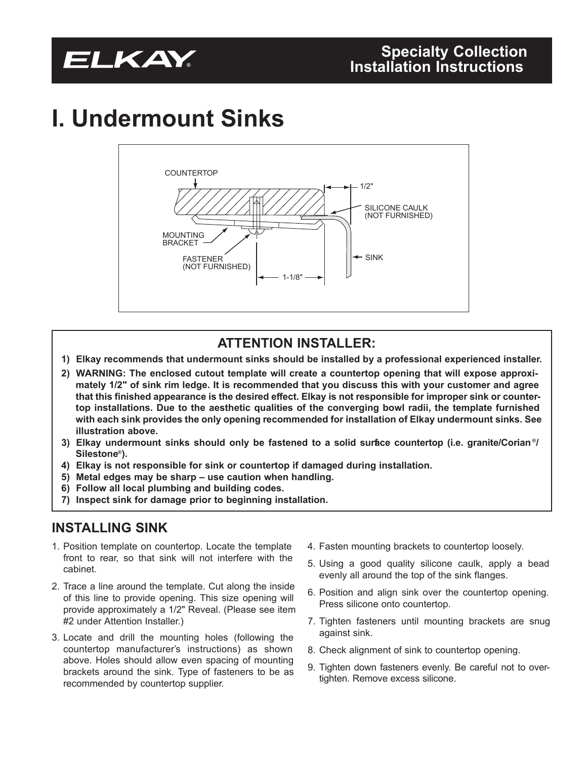## **I. Undermount Sinks**



## **ATTENTION INSTALLER:**

- **1) Elkay recommends that undermount sinks should be installed by a professional experienced installer.**
- **2) WARNING: The enclosed cutout template will create a countertop opening that will expose approxi**mately 1/2" of sink rim ledge. It is recommended that you discuss this with your customer and agree that this finished appearance is the desired effect. Elkay is not responsible for improper sink or counter**top installations. Due to the aesthetic qualities of the converging bowl radii, the template furnished with each sink provides the only opening recommended for installation of Elkay undermount sinks. See illustration above.**
- **3) Elkay undermount sinks should only be fastened to a solid surface countertop (i.e. granite/Corian ®/ Silestone®).**
- **4) Elkay is not responsible for sink or countertop if damaged during installation.**
- **5) Metal edges may be sharp – use caution when handling.**
- **6) Follow all local plumbing and building codes.**
- **7) Inspect sink for damage prior to beginning installation.**

### **INSTALLING SINK**

- 1. Position template on countertop. Locate the template front to rear, so that sink will not interfere with the cabinet.
- 2. Trace a line around the template. Cut along the inside of this line to provide opening. This size opening will provide approximately a 1/2" Reveal. (Please see item #2 under Attention Installer.)
- 3. Locate and drill the mounting holes (following the countertop manufacturer's instructions) as shown above. Holes should allow even spacing of mounting brackets around the sink. Type of fasteners to be as recommended by countertop supplier.
- 4. Fasten mounting brackets to countertop loosely.
- 5. Using a good quality silicone caulk, apply a bead evenly all around the top of the sink flanges.
- 6. Position and align sink over the countertop opening. Press silicone onto countertop.
- 7. Tighten fasteners until mounting brackets are snug against sink.
- 8. Check alignment of sink to countertop opening.
- 9. Tighten down fasteners evenly. Be careful not to overtighten. Remove excess silicone.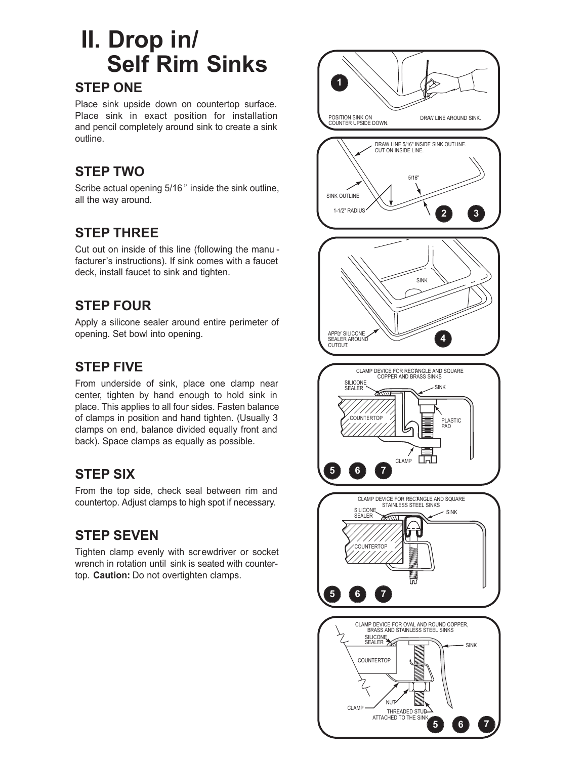## **II. Drop in/ Self Rim Sinks**

### **STEP ONE**

Place sink upside down on countertop surface. Place sink in exact position for installation and pencil completely around sink to create a sink outline.

## **STEP TWO**

Scribe actual opening 5/16 " inside the sink outline, all the way around.

## **STEP THREE**

Cut out on inside of this line (following the manu facturer's instructions). If sink comes with a faucet deck, install faucet to sink and tighten.

## **STEP FOUR**

Apply a silicone sealer around entire perimeter of opening. Set bowl into opening.

## **STEP FIVE**

From underside of sink, place one clamp near center, tighten by hand enough to hold sink in place. This applies to all four sides. Fasten balance of clamps in position and hand tighten. (Usually 3 clamps on end, balance divided equally front and back). Space clamps as equally as possible.

### **STEP SIX**

From the top side, check seal between rim and countertop. Adjust clamps to high spot if necessary.

## **STEP SEVEN**

Tighten clamp evenly with screwdriver or socket wrench in rotation until sink is seated with countertop. **Caution:** Do not overtighten clamps.

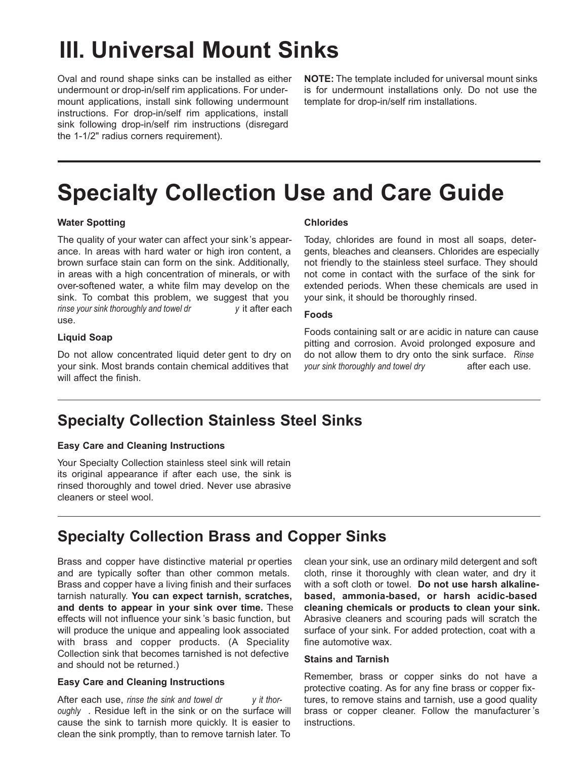## **III. Universal Mount Sinks**

Oval and round shape sinks can be installed as either undermount or drop-in/self rim applications. For undermount applications, install sink following undermount instructions. For drop-in/self rim applications, install sink following drop-in/self rim instructions (disregard the 1-1/2" radius corners requirement).

**NOTE:** The template included for universal mount sinks is for undermount installations only. Do not use the template for drop-in/self rim installations.

## **Specialty Collection Use and Care Guide**

### **Water Spotting**

The quality of your water can affect your sink's appearance. In areas with hard water or high iron content, a brown surface stain can form on the sink. Additionally, in areas with a high concentration of minerals, or with over-softened water, a white film may develop on the sink. To combat this problem, we suggest that you *rinse your sink thoroughly and towel dr y* it after each use.

#### **Liquid Soap**

Do not allow concentrated liquid deter gent to dry on your sink. Most brands contain chemical additives that will affect the finish.

#### **Chlorides**

Today, chlorides are found in most all soaps, detergents, bleaches and cleansers. Chlorides are especially not friendly to the stainless steel surface. They should not come in contact with the surface of the sink for extended periods. When these chemicals are used in your sink, it should be thoroughly rinsed.

#### **Foods**

Foods containing salt or are acidic in nature can cause pitting and corrosion. Avoid prolonged exposure and do not allow them to dry onto the sink surface. *Rinse your sink thoroughly* and *towel dry* **after each use.** 

## **Specialty Collection Stainless Steel Sinks**

#### **Easy Care and Cleaning Instructions**

Your Specialty Collection stainless steel sink will retain its original appearance if after each use, the sink is rinsed thoroughly and towel dried. Never use abrasive cleaners or steel wool.

## **Specialty Collection Brass and Copper Sinks**

Brass and copper have distinctive material pr operties and are typically softer than other common metals. Brass and copper have a living finish and their surfaces tarnish naturally. **You can expect tarnish, scratches, and dents to appear in your sink over time.** These effects will not influence your sink 's basic function, but will produce the unique and appealing look associated with brass and copper products. (A Speciality Collection sink that becomes tarnished is not defective and should not be returned.)

#### **Easy Care and Cleaning Instructions**

After each use, *rinse the sink and towel dr y it thoroughly* . Residue left in the sink or on the surface will cause the sink to tarnish more quickly. It is easier to clean the sink promptly, than to remove tarnish later. To

clean your sink, use an ordinary mild detergent and soft cloth, rinse it thoroughly with clean water, and dry it with a soft cloth or towel. **Do not use harsh alkalinebased, ammonia-based, or harsh acidic-based cleaning chemicals or products to clean your sink.** Abrasive cleaners and scouring pads will scratch the surface of your sink. For added protection, coat with a fine automotive wax.

#### **Stains and Tarnish**

Remember, brass or copper sinks do not have a protective coating. As for any fine brass or copper fixtures, to remove stains and tarnish, use a good quality brass or copper cleaner. Follow the manufacturer 's instructions.